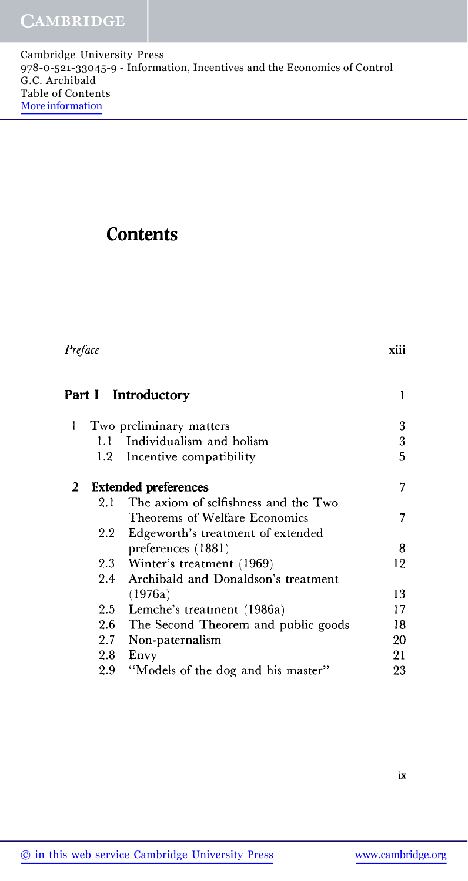## **Contents**

| Preface      |         |                                         | xiii |
|--------------|---------|-----------------------------------------|------|
|              |         | Part I Introductory                     | 1    |
| 1            |         | Two preliminary matters                 | 3    |
|              | $1.1 -$ | Individualism and holism                | 3    |
|              | 1.2     | Incentive compatibility                 | 5    |
| $\mathbf{2}$ |         | <b>Extended preferences</b>             | 7    |
|              | 2.1     | The axiom of selfishness and the Two    |      |
|              |         | Theorems of Welfare Economics           | 7    |
|              |         | 2.2 Edgeworth's treatment of extended   |      |
|              |         | preferences (1881)                      | 8    |
|              |         | 2.3 Winter's treatment (1969)           | 12   |
|              | 2.4     | Archibald and Donaldson's treatment     |      |
|              |         | (1976a)                                 | 13   |
|              |         | 2.5 Lemche's treatment (1986a)          | 17   |
|              |         | 2.6 The Second Theorem and public goods | 18   |
|              | 2.7     | Non-paternalism                         | 20   |
|              | 2.8     | Envy                                    | 21   |
|              | 2.9     | "Models of the dog and his master"      | 23   |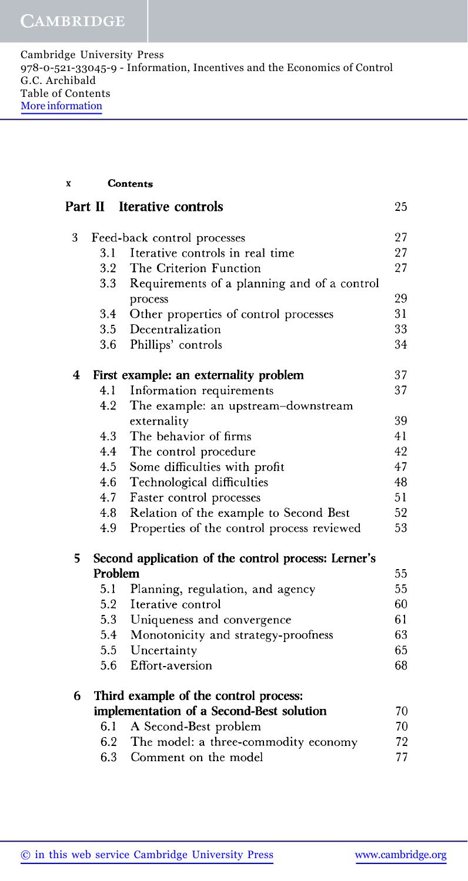**x Contents**

|   | Part II | <b>Iterative controls</b>                           | 25 |
|---|---------|-----------------------------------------------------|----|
| 3 |         | Feed-back control processes                         | 27 |
|   | 3.1     | Iterative controls in real time                     | 27 |
|   | 3.2     | The Criterion Function                              | 27 |
|   | 3.3     | Requirements of a planning and of a control         |    |
|   |         | process                                             | 29 |
|   | 3.4     | Other properties of control processes               | 31 |
|   | 3.5     | Decentralization                                    | 33 |
|   | 3.6     | Phillips' controls                                  | 34 |
| 4 |         | First example: an externality problem               | 37 |
|   | 4.1     | Information requirements                            | 37 |
|   | 4.2     | The example: an upstream-downstream                 |    |
|   |         | externality                                         | 39 |
|   | 4.3     | The behavior of firms                               | 41 |
|   | 4.4     | The control procedure                               | 42 |
|   | 4.5     | Some difficulties with profit                       | 47 |
|   | 4.6     | Technological difficulties                          | 48 |
|   | 4.7     | Faster control processes                            | 51 |
|   | 4.8     | Relation of the example to Second Best              | 52 |
|   | 4.9     | Properties of the control process reviewed          | 53 |
| 5 |         | Second application of the control process: Lerner's |    |
|   | Problem |                                                     | 55 |
|   | 5.1     | Planning, regulation, and agency                    | 55 |
|   | 5.2     | Iterative control                                   | 60 |
|   | 5.3     | Uniqueness and convergence                          | 61 |
|   | 5.4     | Monotonicity and strategy-proofness                 | 63 |
|   | 5.5     | Uncertainty                                         | 65 |
|   | 5.6     | Effort-aversion                                     | 68 |
| 6 |         | Third example of the control process:               |    |
|   |         | implementation of a Second-Best solution            | 70 |
|   | 6.1     | A Second-Best problem                               | 70 |
|   | 6.2     | The model: a three-commodity economy                | 72 |
|   | 6.3     | Comment on the model                                | 77 |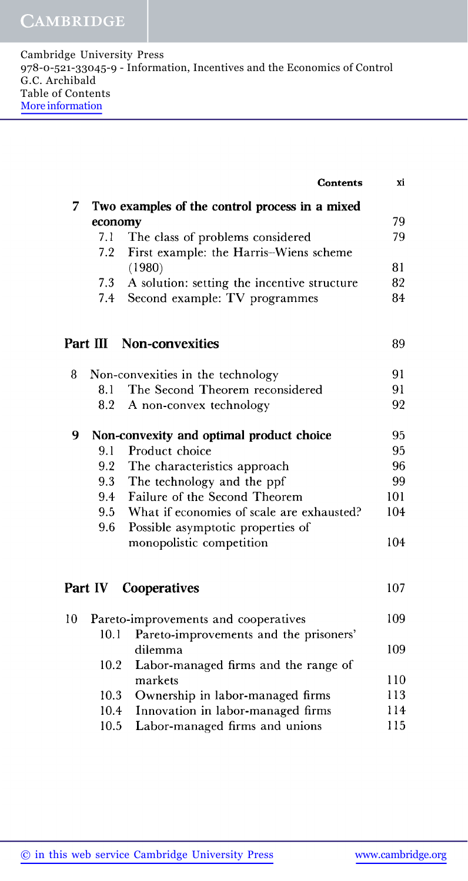## CAMBRIDGE

| Cambridge University Press                                               |
|--------------------------------------------------------------------------|
| 978-0-521-33045-9 - Information, Incentives and the Economics of Control |
| G.C. Archibald                                                           |
| Table of Contents                                                        |
| More information                                                         |
|                                                                          |

|                                                      |          | Contents                                      | хi  |  |
|------------------------------------------------------|----------|-----------------------------------------------|-----|--|
| Two examples of the control process in a mixed<br>7. |          |                                               |     |  |
|                                                      | economy  |                                               | 79  |  |
|                                                      | 7.1      | The class of problems considered              | 79  |  |
|                                                      | 7.2      | First example: the Harris-Wiens scheme        |     |  |
|                                                      |          | (1980)                                        | 81  |  |
|                                                      | 7.3      | A solution: setting the incentive structure   | 82  |  |
|                                                      | 7.4      | Second example: TV programmes                 | 84  |  |
|                                                      |          |                                               |     |  |
|                                                      | Part III | Non-convexities                               | 89  |  |
| 8.                                                   |          | Non-convexities in the technology             | 91  |  |
|                                                      | 8.1      | The Second Theorem reconsidered               | 91  |  |
|                                                      | 8.2      | A non-convex technology                       | 92  |  |
| 9                                                    |          | Non-convexity and optimal product choice      | 95  |  |
|                                                      | 9.1      | Product choice                                | 95  |  |
|                                                      | 9.2      | The characteristics approach                  | 96  |  |
|                                                      | 9.3      | The technology and the ppf                    | 99  |  |
|                                                      | 9.4      | Failure of the Second Theorem                 | 101 |  |
|                                                      |          | 9.5 What if economies of scale are exhausted? | 104 |  |
|                                                      | 9.6      | Possible asymptotic properties of             |     |  |
|                                                      |          | monopolistic competition                      | 104 |  |
|                                                      |          |                                               |     |  |
|                                                      | Part IV  | Cooperatives                                  | 107 |  |
| 10                                                   |          | Pareto-improvements and cooperatives          | 109 |  |
|                                                      | 10.1     | Pareto-improvements and the prisoners'        |     |  |
|                                                      |          | dilemma                                       | 109 |  |
|                                                      | 10.2     | Labor-managed firms and the range of          |     |  |
|                                                      |          | markets                                       | 110 |  |
|                                                      | 10.3     | Ownership in labor-managed firms              | 113 |  |
|                                                      | 10.4     | Innovation in labor-managed firms             | 114 |  |
|                                                      | 10.5     | Labor-managed firms and unions                | 115 |  |